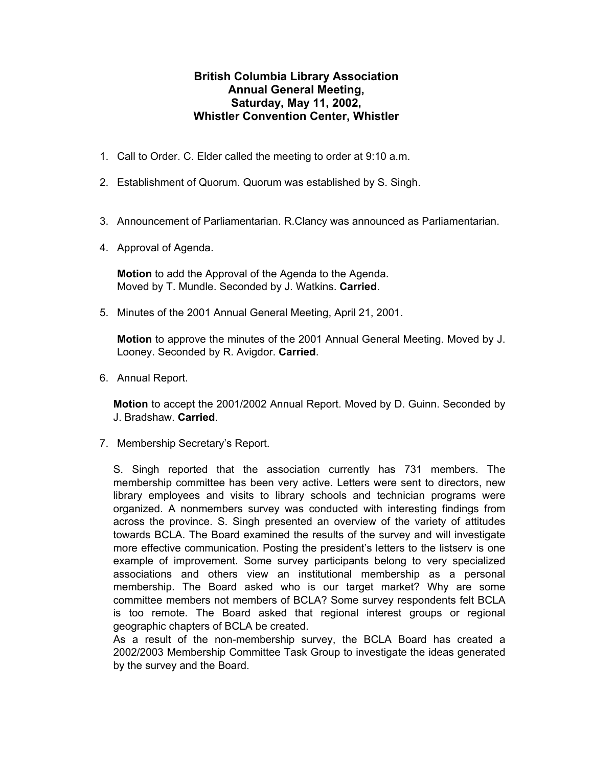## **British Columbia Library Association Annual General Meeting, Saturday, May 11, 2002, Whistler Convention Center, Whistler**

- 1. Call to Order. C. Elder called the meeting to order at 9:10 a.m.
- 2. Establishment of Quorum. Quorum was established by S. Singh.
- 3. Announcement of Parliamentarian. R.Clancy was announced as Parliamentarian.
- 4. Approval of Agenda.

**Motion** to add the Approval of the Agenda to the Agenda. Moved by T. Mundle. Seconded by J. Watkins. **Carried**.

5. Minutes of the 2001 Annual General Meeting, April 21, 2001.

**Motion** to approve the minutes of the 2001 Annual General Meeting. Moved by J. Looney. Seconded by R. Avigdor. **Carried**.

6. Annual Report.

**Motion** to accept the 2001/2002 Annual Report. Moved by D. Guinn. Seconded by J. Bradshaw. **Carried**.

7. Membership Secretary's Report.

S. Singh reported that the association currently has 731 members. The membership committee has been very active. Letters were sent to directors, new library employees and visits to library schools and technician programs were organized. A nonmembers survey was conducted with interesting findings from across the province. S. Singh presented an overview of the variety of attitudes towards BCLA. The Board examined the results of the survey and will investigate more effective communication. Posting the president's letters to the listserv is one example of improvement. Some survey participants belong to very specialized associations and others view an institutional membership as a personal membership. The Board asked who is our target market? Why are some committee members not members of BCLA? Some survey respondents felt BCLA is too remote. The Board asked that regional interest groups or regional geographic chapters of BCLA be created.

As a result of the non-membership survey, the BCLA Board has created a 2002/2003 Membership Committee Task Group to investigate the ideas generated by the survey and the Board.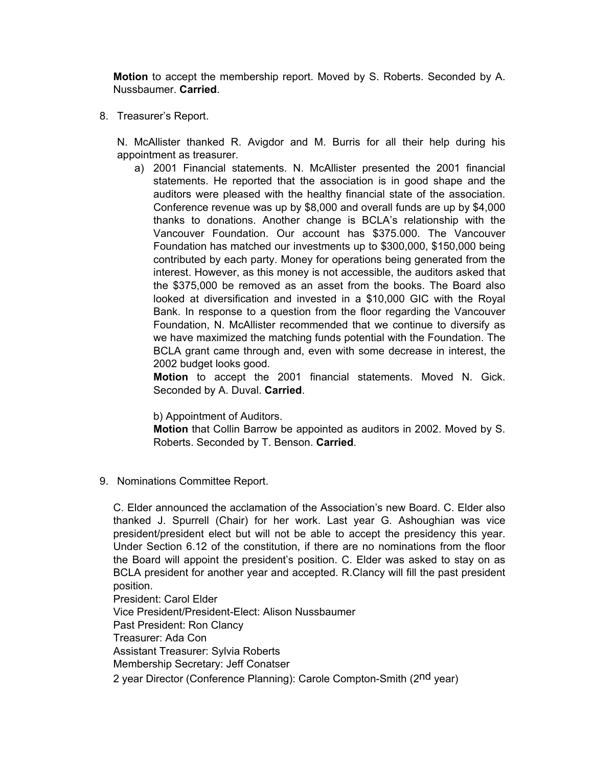**Motion** to accept the membership report. Moved by S. Roberts. Seconded by A. Nussbaumer. **Carried**.

8. Treasurer's Report.

N. McAllister thanked R. Avigdor and M. Burris for all their help during his appointment as treasurer.

a) 2001 Financial statements. N. McAllister presented the 2001 financial statements. He reported that the association is in good shape and the auditors were pleased with the healthy financial state of the association. Conference revenue was up by \$8,000 and overall funds are up by \$4,000 thanks to donations. Another change is BCLA's relationship with the Vancouver Foundation. Our account has \$375.000. The Vancouver Foundation has matched our investments up to \$300,000, \$150,000 being contributed by each party. Money for operations being generated from the interest. However, as this money is not accessible, the auditors asked that the \$375,000 be removed as an asset from the books. The Board also looked at diversification and invested in a \$10,000 GIC with the Royal Bank. In response to a question from the floor regarding the Vancouver Foundation, N. McAllister recommended that we continue to diversify as we have maximized the matching funds potential with the Foundation. The BCLA grant came through and, even with some decrease in interest, the 2002 budget looks good.

**Motion** to accept the 2001 financial statements. Moved N. Gick. Seconded by A. Duval. **Carried**.

b) Appointment of Auditors.

**Motion** that Collin Barrow be appointed as auditors in 2002. Moved by S. Roberts. Seconded by T. Benson. **Carried**.

9. Nominations Committee Report.

C. Elder announced the acclamation of the Association's new Board. C. Elder also thanked J. Spurrell (Chair) for her work. Last year G. Ashoughian was vice president/president elect but will not be able to accept the presidency this year. Under Section 6.12 of the constitution, if there are no nominations from the floor the Board will appoint the president's position. C. Elder was asked to stay on as BCLA president for another year and accepted. R.Clancy will fill the past president position.

President: Carol Elder Vice President/President-Elect: Alison Nussbaumer Past President: Ron Clancy Treasurer: Ada Con Assistant Treasurer: Sylvia Roberts Membership Secretary: Jeff Conatser 2 year Director (Conference Planning): Carole Compton-Smith (2<sup>nd</sup> year)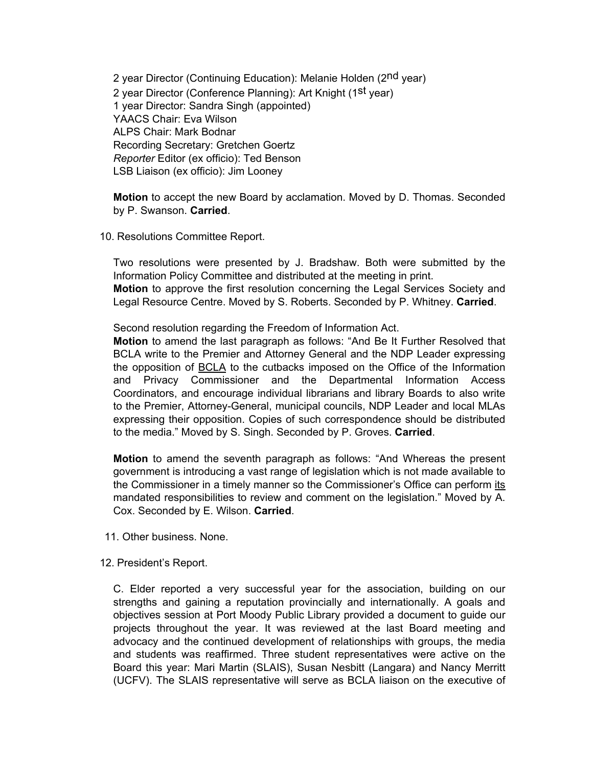2 year Director (Continuing Education): Melanie Holden (2<sup>nd</sup> year) 2 year Director (Conference Planning): Art Knight (1st year) 1 year Director: Sandra Singh (appointed) YAACS Chair: Eva Wilson ALPS Chair: Mark Bodnar Recording Secretary: Gretchen Goertz *Reporter* Editor (ex officio): Ted Benson LSB Liaison (ex officio): Jim Looney

**Motion** to accept the new Board by acclamation. Moved by D. Thomas. Seconded by P. Swanson. **Carried**.

10. Resolutions Committee Report.

Two resolutions were presented by J. Bradshaw. Both were submitted by the Information Policy Committee and distributed at the meeting in print. **Motion** to approve the first resolution concerning the Legal Services Society and Legal Resource Centre. Moved by S. Roberts. Seconded by P. Whitney. **Carried**.

Second resolution regarding the Freedom of Information Act.

**Motion** to amend the last paragraph as follows: "And Be It Further Resolved that BCLA write to the Premier and Attorney General and the NDP Leader expressing the opposition of BCLA to the cutbacks imposed on the Office of the Information and Privacy Commissioner and the Departmental Information Access Coordinators, and encourage individual librarians and library Boards to also write to the Premier, Attorney-General, municipal councils, NDP Leader and local MLAs expressing their opposition. Copies of such correspondence should be distributed to the media." Moved by S. Singh. Seconded by P. Groves. **Carried**.

**Motion** to amend the seventh paragraph as follows: "And Whereas the present government is introducing a vast range of legislation which is not made available to the Commissioner in a timely manner so the Commissioner's Office can perform its mandated responsibilities to review and comment on the legislation." Moved by A. Cox. Seconded by E. Wilson. **Carried**.

- 11. Other business. None.
- 12. President's Report.

C. Elder reported a very successful year for the association, building on our strengths and gaining a reputation provincially and internationally. A goals and objectives session at Port Moody Public Library provided a document to guide our projects throughout the year. It was reviewed at the last Board meeting and advocacy and the continued development of relationships with groups, the media and students was reaffirmed. Three student representatives were active on the Board this year: Mari Martin (SLAIS), Susan Nesbitt (Langara) and Nancy Merritt (UCFV). The SLAIS representative will serve as BCLA liaison on the executive of